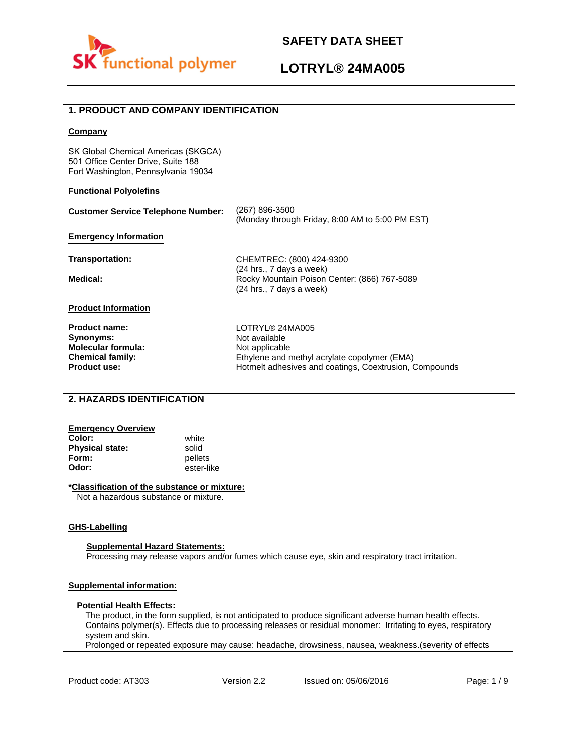

# **LOTRYL® 24MA005**

## **1. PRODUCT AND COMPANY IDENTIFICATION**

### **Company**

SK Global Chemical Americas (SKGCA) 501 Office Center Drive, Suite 188 Fort Washington, Pennsylvania 19034

### **Functional Polyolefins**

| <b>Customer Service Telephone Number:</b>                                                                        | (267) 896-3500<br>(Monday through Friday, 8:00 AM to 5:00 PM EST)                                                                                            |
|------------------------------------------------------------------------------------------------------------------|--------------------------------------------------------------------------------------------------------------------------------------------------------------|
| <b>Emergency Information</b>                                                                                     |                                                                                                                                                              |
| Transportation:                                                                                                  | CHEMTREC: (800) 424-9300                                                                                                                                     |
| Medical:                                                                                                         | (24 hrs., 7 days a week)<br>Rocky Mountain Poison Center: (866) 767-5089<br>(24 hrs., 7 days a week)                                                         |
| <b>Product Information</b>                                                                                       |                                                                                                                                                              |
| <b>Product name:</b><br>Synonyms:<br><b>Molecular formula:</b><br><b>Chemical family:</b><br><b>Product use:</b> | LOTRYL® 24MA005<br>Not available<br>Not applicable<br>Ethylene and methyl acrylate copolymer (EMA)<br>Hotmelt adhesives and coatings, Coextrusion, Compounds |

## **2. HAZARDS IDENTIFICATION**

## **Emergency Overview**

**Color:** white **Physical state:** solid<br> **Form:** nellet **Form:** pellets<br> **Odor:** ester-li

**Odor:** ester-like

### **\*Classification of the substance or mixture:**

Not a hazardous substance or mixture.

#### **GHS-Labelling**

#### **Supplemental Hazard Statements:**

Processing may release vapors and/or fumes which cause eye, skin and respiratory tract irritation.

## **Supplemental information:**

#### **Potential Health Effects:**

The product, in the form supplied, is not anticipated to produce significant adverse human health effects. Contains polymer(s). Effects due to processing releases or residual monomer: Irritating to eyes, respiratory system and skin.

Prolonged or repeated exposure may cause: headache, drowsiness, nausea, weakness.(severity of effects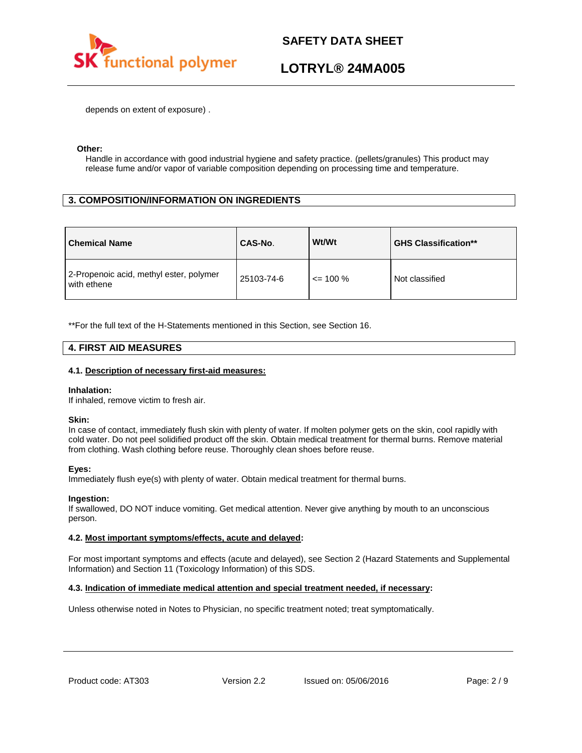

# **LOTRYL® 24MA005**

depends on extent of exposure) .

### **Other:**

Handle in accordance with good industrial hygiene and safety practice. (pellets/granules) This product may release fume and/or vapor of variable composition depending on processing time and temperature.

## **3. COMPOSITION/INFORMATION ON INGREDIENTS**

| <b>Chemical Name</b>                                   | CAS-No.    | Wt/Wt        | <b>GHS Classification**</b> |
|--------------------------------------------------------|------------|--------------|-----------------------------|
| 2-Propenoic acid, methyl ester, polymer<br>with ethene | 25103-74-6 | $\leq$ 100 % | Not classified              |

\*\*For the full text of the H-Statements mentioned in this Section, see Section 16.

## **4. FIRST AID MEASURES**

### **4.1. Description of necessary first-aid measures:**

#### **Inhalation:**

If inhaled, remove victim to fresh air.

#### **Skin:**

In case of contact, immediately flush skin with plenty of water. If molten polymer gets on the skin, cool rapidly with cold water. Do not peel solidified product off the skin. Obtain medical treatment for thermal burns. Remove material from clothing. Wash clothing before reuse. Thoroughly clean shoes before reuse.

### **Eyes:**

Immediately flush eye(s) with plenty of water. Obtain medical treatment for thermal burns.

### **Ingestion:**

If swallowed, DO NOT induce vomiting. Get medical attention. Never give anything by mouth to an unconscious person.

### **4.2. Most important symptoms/effects, acute and delayed:**

For most important symptoms and effects (acute and delayed), see Section 2 (Hazard Statements and Supplemental Information) and Section 11 (Toxicology Information) of this SDS.

### **4.3. Indication of immediate medical attention and special treatment needed, if necessary:**

Unless otherwise noted in Notes to Physician, no specific treatment noted; treat symptomatically.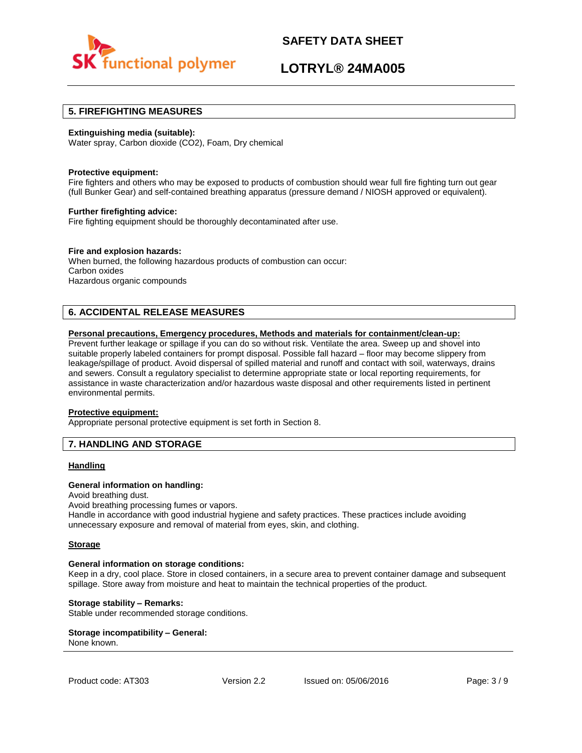

# **LOTRYL® 24MA005**

## **5. FIREFIGHTING MEASURES**

### **Extinguishing media (suitable):**

Water spray, Carbon dioxide (CO2), Foam, Dry chemical

#### **Protective equipment:**

Fire fighters and others who may be exposed to products of combustion should wear full fire fighting turn out gear (full Bunker Gear) and self-contained breathing apparatus (pressure demand / NIOSH approved or equivalent).

#### **Further firefighting advice:**

Fire fighting equipment should be thoroughly decontaminated after use.

### **Fire and explosion hazards:**

When burned, the following hazardous products of combustion can occur: Carbon oxides Hazardous organic compounds

## **6. ACCIDENTAL RELEASE MEASURES**

### **Personal precautions, Emergency procedures, Methods and materials for containment/clean-up:**

Prevent further leakage or spillage if you can do so without risk. Ventilate the area. Sweep up and shovel into suitable properly labeled containers for prompt disposal. Possible fall hazard – floor may become slippery from leakage/spillage of product. Avoid dispersal of spilled material and runoff and contact with soil, waterways, drains and sewers. Consult a regulatory specialist to determine appropriate state or local reporting requirements, for assistance in waste characterization and/or hazardous waste disposal and other requirements listed in pertinent environmental permits.

#### **Protective equipment:**

Appropriate personal protective equipment is set forth in Section 8.

## **7. HANDLING AND STORAGE**

#### **Handling**

#### **General information on handling:**

Avoid breathing dust.

Avoid breathing processing fumes or vapors.

Handle in accordance with good industrial hygiene and safety practices. These practices include avoiding unnecessary exposure and removal of material from eyes, skin, and clothing.

#### **Storage**

#### **General information on storage conditions:**

Keep in a dry, cool place. Store in closed containers, in a secure area to prevent container damage and subsequent spillage. Store away from moisture and heat to maintain the technical properties of the product.

### **Storage stability – Remarks:**

Stable under recommended storage conditions.

#### **Storage incompatibility – General:**  None known.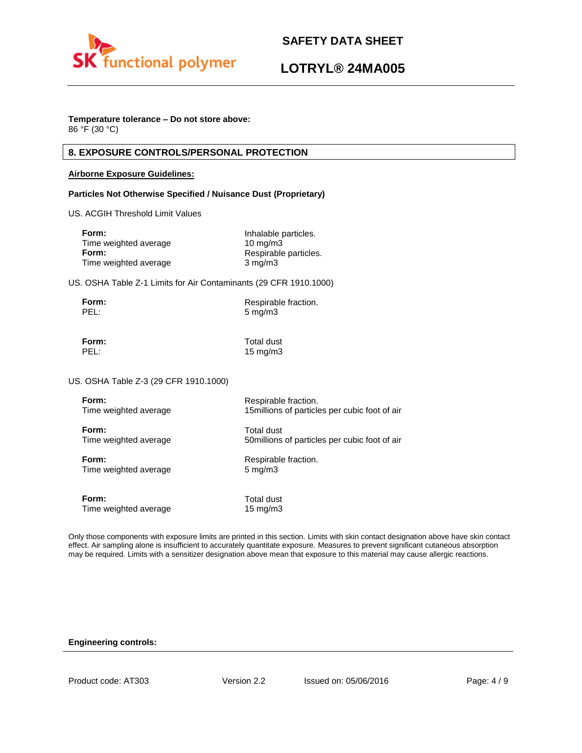

# **LOTRYL® 24MA005**

# **Temperature tolerance – Do not store above:**

86 °F (30 °C)

## **8. EXPOSURE CONTROLS/PERSONAL PROTECTION**

### **Airborne Exposure Guidelines:**

## **Particles Not Otherwise Specified / Nuisance Dust (Proprietary)**

US. ACGIH Threshold Limit Values

| Form:                 | Inhalable particles.  |
|-----------------------|-----------------------|
| Time weighted average | $10 \text{ ma/m}$ 3   |
| Form:                 | Respirable particles. |
| Time weighted average | $3 \text{ mg/m}$      |

US. OSHA Table Z-1 Limits for Air Contaminants (29 CFR 1910.1000)

| Form: | Respirable fraction. |
|-------|----------------------|
| PEL:  | $5 \,\mathrm{mg/m}$  |

**Form:** Total dust PEL: 15 mg/m3

US. OSHA Table Z-3 (29 CFR 1910.1000)

| Form:                 | Respirable fraction.                           |
|-----------------------|------------------------------------------------|
| Time weighted average | 15 millions of particles per cubic foot of air |
| Form:                 | Total dust                                     |
| Time weighted average | 50 millions of particles per cubic foot of air |
| Form:                 | Respirable fraction.                           |
| Time weighted average | $5 \text{ mg/m}$                               |
| Form:                 | Total dust                                     |
| Time weighted average | 15 $mg/m3$                                     |

Only those components with exposure limits are printed in this section. Limits with skin contact designation above have skin contact effect. Air sampling alone is insufficient to accurately quantitate exposure. Measures to prevent significant cutaneous absorption may be required. Limits with a sensitizer designation above mean that exposure to this material may cause allergic reactions.

### **Engineering controls:**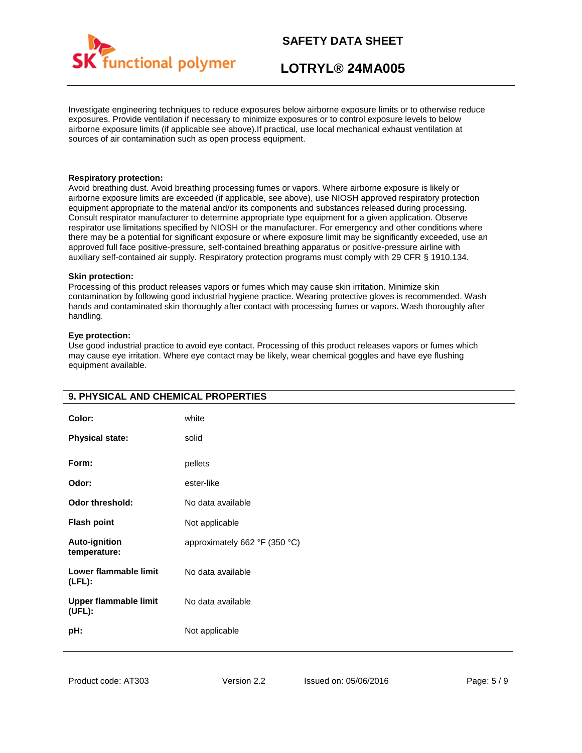

# **LOTRYL® 24MA005**

Investigate engineering techniques to reduce exposures below airborne exposure limits or to otherwise reduce exposures. Provide ventilation if necessary to minimize exposures or to control exposure levels to below airborne exposure limits (if applicable see above).If practical, use local mechanical exhaust ventilation at sources of air contamination such as open process equipment.

### **Respiratory protection:**

Avoid breathing dust. Avoid breathing processing fumes or vapors. Where airborne exposure is likely or airborne exposure limits are exceeded (if applicable, see above), use NIOSH approved respiratory protection equipment appropriate to the material and/or its components and substances released during processing. Consult respirator manufacturer to determine appropriate type equipment for a given application. Observe respirator use limitations specified by NIOSH or the manufacturer. For emergency and other conditions where there may be a potential for significant exposure or where exposure limit may be significantly exceeded, use an approved full face positive-pressure, self-contained breathing apparatus or positive-pressure airline with auxiliary self-contained air supply. Respiratory protection programs must comply with 29 CFR § 1910.134.

### **Skin protection:**

Processing of this product releases vapors or fumes which may cause skin irritation. Minimize skin contamination by following good industrial hygiene practice. Wearing protective gloves is recommended. Wash hands and contaminated skin thoroughly after contact with processing fumes or vapors. Wash thoroughly after handling.

### **Eye protection:**

Use good industrial practice to avoid eye contact. Processing of this product releases vapors or fumes which may cause eye irritation. Where eye contact may be likely, wear chemical goggles and have eye flushing equipment available.

| 9. PHYSICAL AND CHEMICAL PROPERTIES    |                               |
|----------------------------------------|-------------------------------|
| Color:                                 | white                         |
| <b>Physical state:</b>                 | solid                         |
| Form:                                  | pellets                       |
| Odor:                                  | ester-like                    |
| <b>Odor threshold:</b>                 | No data available             |
| <b>Flash point</b>                     | Not applicable                |
| <b>Auto-ignition</b><br>temperature:   | approximately 662 °F (350 °C) |
| Lower flammable limit<br>$(LFL)$ :     | No data available             |
| <b>Upper flammable limit</b><br>(UEL): | No data available             |
| pH:                                    | Not applicable                |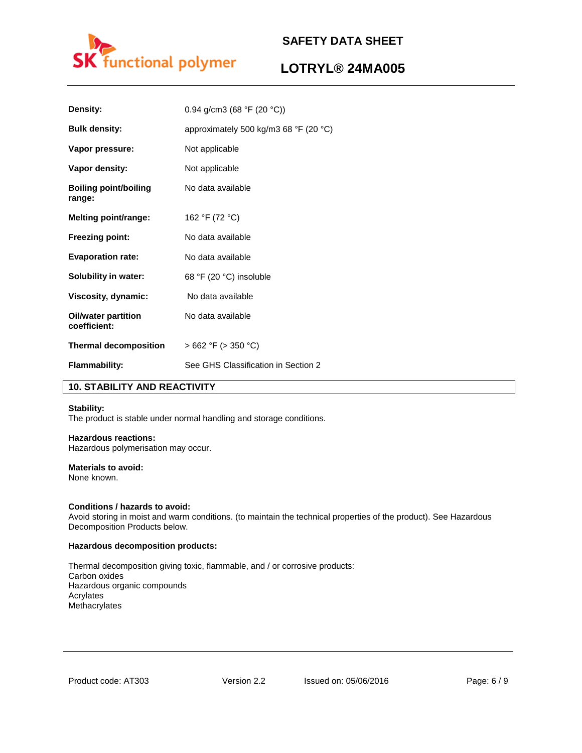

# **LOTRYL® 24MA005**

| Density:                                   | 0.94 g/cm3 (68 °F (20 °C))                              |
|--------------------------------------------|---------------------------------------------------------|
| <b>Bulk density:</b>                       | approximately 500 kg/m3 68 $\degree$ F (20 $\degree$ C) |
| Vapor pressure:                            | Not applicable                                          |
| Vapor density:                             | Not applicable                                          |
| <b>Boiling point/boiling</b><br>range:     | No data available                                       |
| Melting point/range:                       | 162 °F (72 °C)                                          |
| <b>Freezing point:</b>                     | No data available                                       |
| <b>Evaporation rate:</b>                   | No data available                                       |
| <b>Solubility in water:</b>                | 68 °F (20 °C) insoluble                                 |
| Viscosity, dynamic:                        | No data available                                       |
| <b>Oil/water partition</b><br>coefficient: | No data available                                       |
| <b>Thermal decomposition</b>               | $>662$ °F ( $>350$ °C)                                  |
| <b>Flammability:</b>                       | See GHS Classification in Section 2                     |

## **10. STABILITY AND REACTIVITY**

### **Stability:**

The product is stable under normal handling and storage conditions.

## **Hazardous reactions:**

Hazardous polymerisation may occur.

## **Materials to avoid:**

None known.

### **Conditions / hazards to avoid:**

Avoid storing in moist and warm conditions. (to maintain the technical properties of the product). See Hazardous Decomposition Products below.

### **Hazardous decomposition products:**

Thermal decomposition giving toxic, flammable, and / or corrosive products: Carbon oxides Hazardous organic compounds Acrylates Methacrylates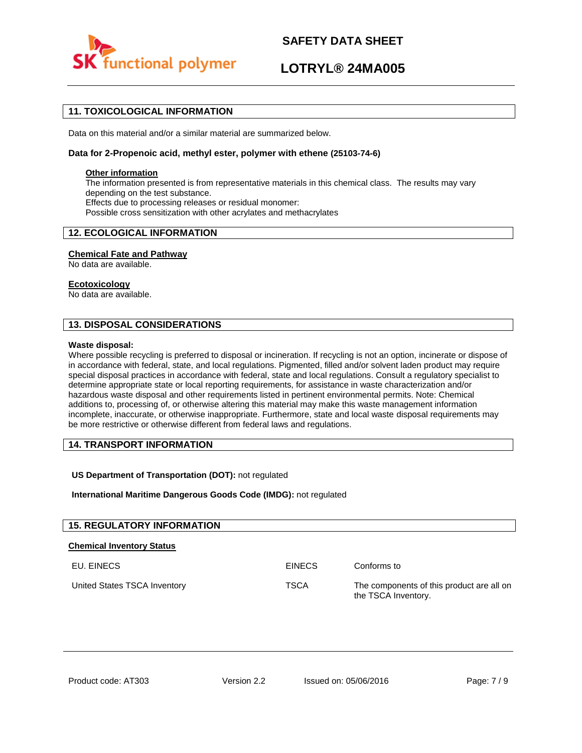

# **LOTRYL® 24MA005**

## **11. TOXICOLOGICAL INFORMATION**

Data on this material and/or a similar material are summarized below.

### **Data for 2-Propenoic acid, methyl ester, polymer with ethene (25103-74-6)**

### **Other information**

The information presented is from representative materials in this chemical class. The results may vary depending on the test substance. Effects due to processing releases or residual monomer: Possible cross sensitization with other acrylates and methacrylates

## **12. ECOLOGICAL INFORMATION**

### **Chemical Fate and Pathway**

No data are available.

### **Ecotoxicology**

No data are available.

## **13. DISPOSAL CONSIDERATIONS**

#### **Waste disposal:**

Where possible recycling is preferred to disposal or incineration. If recycling is not an option, incinerate or dispose of in accordance with federal, state, and local regulations. Pigmented, filled and/or solvent laden product may require special disposal practices in accordance with federal, state and local regulations. Consult a regulatory specialist to determine appropriate state or local reporting requirements, for assistance in waste characterization and/or hazardous waste disposal and other requirements listed in pertinent environmental permits. Note: Chemical additions to, processing of, or otherwise altering this material may make this waste management information incomplete, inaccurate, or otherwise inappropriate. Furthermore, state and local waste disposal requirements may be more restrictive or otherwise different from federal laws and regulations.

## **14. TRANSPORT INFORMATION**

### **US Department of Transportation (DOT):** not regulated

**International Maritime Dangerous Goods Code (IMDG):** not regulated

| <b>15. REGULATORY INFORMATION</b> |               |                                                                  |
|-----------------------------------|---------------|------------------------------------------------------------------|
| <b>Chemical Inventory Status</b>  |               |                                                                  |
| EU. EINECS                        | <b>EINECS</b> | Conforms to                                                      |
| United States TSCA Inventory      | <b>TSCA</b>   | The components of this product are all on<br>the TSCA Inventory. |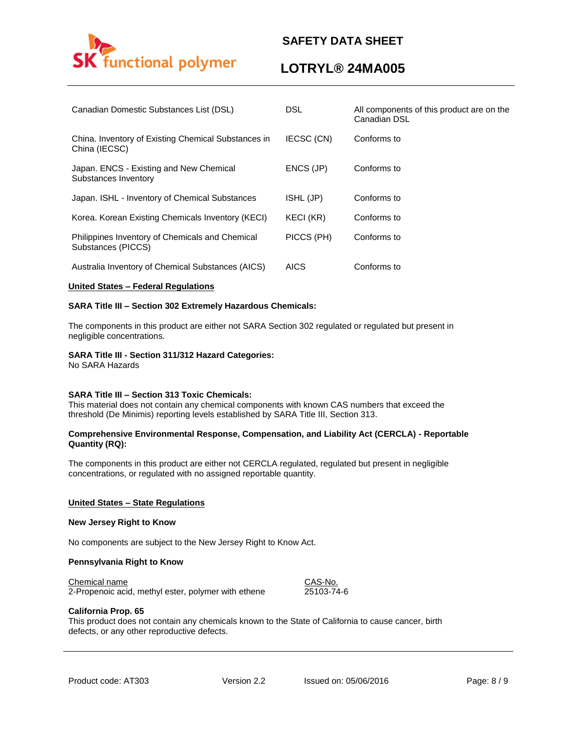

# **LOTRYL® 24MA005**

| Canadian Domestic Substances List (DSL)                               | <b>DSL</b>       | All components of this product are on the<br>Canadian DSL |
|-----------------------------------------------------------------------|------------------|-----------------------------------------------------------|
| China. Inventory of Existing Chemical Substances in<br>China (IECSC)  | IECSC (CN)       | Conforms to                                               |
| Japan. ENCS - Existing and New Chemical<br>Substances Inventory       | ENCS (JP)        | Conforms to                                               |
| Japan. ISHL - Inventory of Chemical Substances                        | ISHL (JP)        | Conforms to                                               |
| Korea. Korean Existing Chemicals Inventory (KECI)                     | <b>KECI (KR)</b> | Conforms to                                               |
| Philippines Inventory of Chemicals and Chemical<br>Substances (PICCS) | PICCS (PH)       | Conforms to                                               |
| Australia Inventory of Chemical Substances (AICS)                     | <b>AICS</b>      | Conforms to                                               |

### **United States – Federal Regulations**

### **SARA Title III – Section 302 Extremely Hazardous Chemicals:**

The components in this product are either not SARA Section 302 regulated or regulated but present in negligible concentrations.

### **SARA Title III - Section 311/312 Hazard Categories:**

No SARA Hazards

#### **SARA Title III – Section 313 Toxic Chemicals:**

This material does not contain any chemical components with known CAS numbers that exceed the threshold (De Minimis) reporting levels established by SARA Title III, Section 313.

### **Comprehensive Environmental Response, Compensation, and Liability Act (CERCLA) - Reportable Quantity (RQ):**

The components in this product are either not CERCLA regulated, regulated but present in negligible concentrations, or regulated with no assigned reportable quantity.

#### **United States – State Regulations**

### **New Jersey Right to Know**

No components are subject to the New Jersey Right to Know Act.

#### **Pennsylvania Right to Know**

Chemical name CAS-No.

2-Propenoic acid, methyl ester, polymer with ethene 25103-74-6

#### **California Prop. 65**

This product does not contain any chemicals known to the State of California to cause cancer, birth defects, or any other reproductive defects.

Product code: AT303 Version 2.2 Issued on: 05/06/2016 Page: 8/9